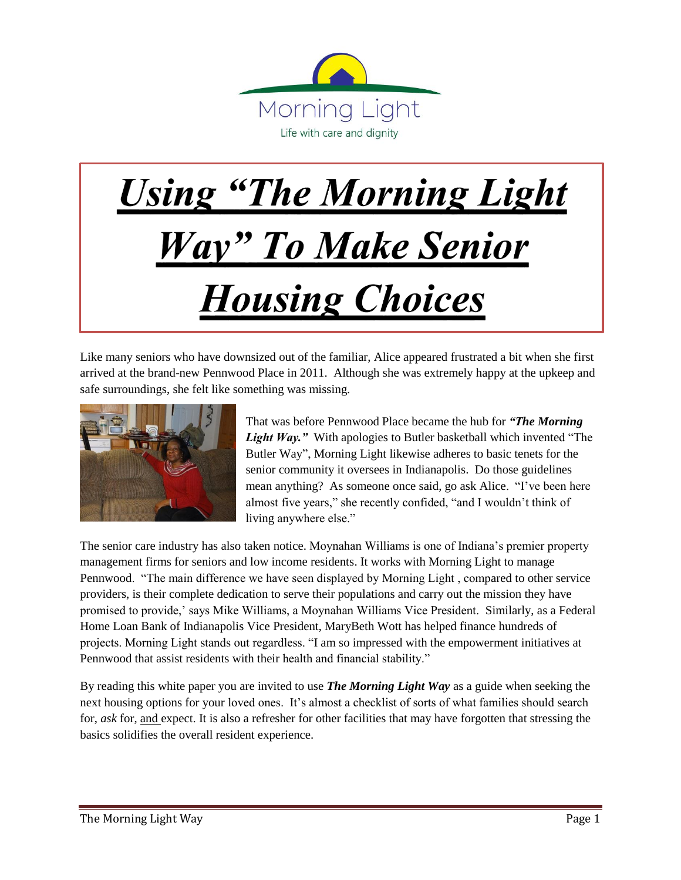

## **Using "The Morning Light**" **Way**" To Make Senior **Housing Choices**

Like many seniors who have downsized out of the familiar, Alice appeared frustrated a bit when she first arrived at the brand-new Pennwood Place in 2011. Although she was extremely happy at the upkeep and safe surroundings, she felt like something was missing.



That was before Pennwood Place became the hub for *"The Morning Light Way."* With apologies to Butler basketball which invented "The Butler Way", Morning Light likewise adheres to basic tenets for the senior community it oversees in Indianapolis. Do those guidelines mean anything? As someone once said, go ask Alice. "I've been here almost five years," she recently confided, "and I wouldn't think of living anywhere else."

The senior care industry has also taken notice. Moynahan Williams is one of Indiana's premier property management firms for seniors and low income residents. It works with Morning Light to manage Pennwood. "The main difference we have seen displayed by Morning Light , compared to other service providers, is their complete dedication to serve their populations and carry out the mission they have promised to provide,' says Mike Williams, a Moynahan Williams Vice President. Similarly, as a Federal Home Loan Bank of Indianapolis Vice President, MaryBeth Wott has helped finance hundreds of projects. Morning Light stands out regardless. "I am so impressed with the empowerment initiatives at Pennwood that assist residents with their health and financial stability."

By reading this white paper you are invited to use *The Morning Light Way* as a guide when seeking the next housing options for your loved ones. It's almost a checklist of sorts of what families should search for, *ask* for, and expect. It is also a refresher for other facilities that may have forgotten that stressing the basics solidifies the overall resident experience.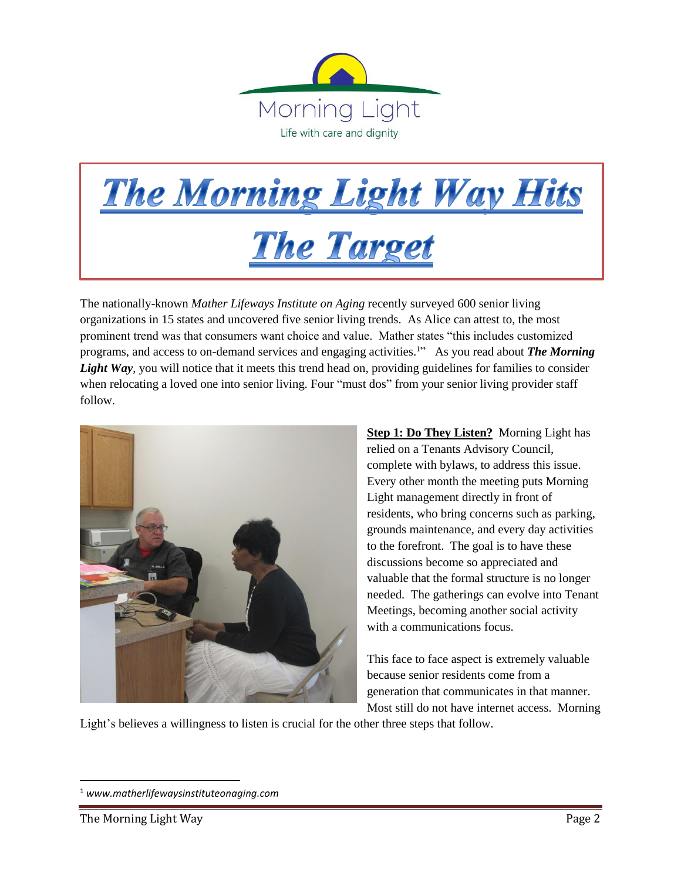

## **The Morning Light Way Hits The Target**

The nationally-known *Mather Lifeways Institute on Aging* recently surveyed 600 senior living organizations in 15 states and uncovered five senior living trends. As Alice can attest to, the most prominent trend was that consumers want choice and value. Mather states "this includes customized programs, and access to on-demand services and engaging activities.<sup>1</sup> As you read about *The Morning* Light Way, you will notice that it meets this trend head on, providing guidelines for families to consider when relocating a loved one into senior living. Four "must dos" from your senior living provider staff follow.



**Step 1: Do They Listen?** Morning Light has relied on a Tenants Advisory Council, complete with bylaws, to address this issue. Every other month the meeting puts Morning Light management directly in front of residents, who bring concerns such as parking, grounds maintenance, and every day activities to the forefront. The goal is to have these discussions become so appreciated and valuable that the formal structure is no longer needed. The gatherings can evolve into Tenant Meetings, becoming another social activity with a communications focus.

This face to face aspect is extremely valuable because senior residents come from a generation that communicates in that manner. Most still do not have internet access. Morning

Light's believes a willingness to listen is crucial for the other three steps that follow.

 $\overline{\phantom{a}}$ 

<sup>1</sup> *[www.matherlifewaysinstituteona](http://www.matherlifewaysinstituteon/)ging.com*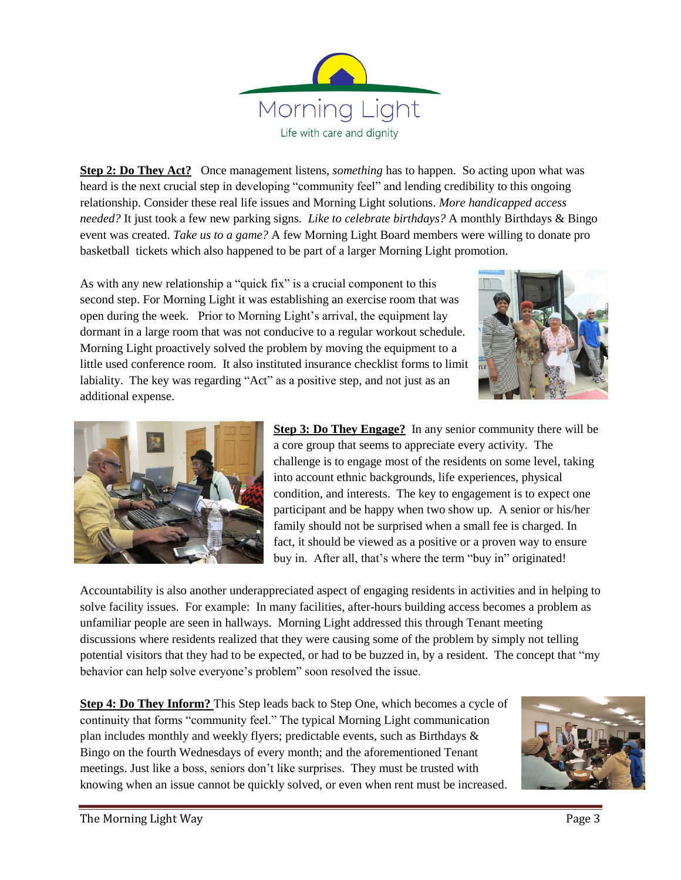

**Step 2: Do They Act?** Once management listens, *something* has to happen. So acting upon what was heard is the next crucial step in developing "community feel" and lending credibility to this ongoing relationship. Consider these real life issues and Morning Light solutions. *More handicapped access needed?* It just took a few new parking signs. *Like to celebrate birthdays?* A monthly Birthdays & Bingo event was created. *Take us to a game?* A few Morning Light Board members were willing to donate pro basketball tickets which also happened to be part of a larger Morning Light promotion.

As with any new relationship a "quick fix" is a crucial component to this second step. For Morning Light it was establishing an exercise room that was open during the week. Prior to Morning Light's arrival, the equipment lay dormant in a large room that was not conducive to a regular workout schedule. Morning Light proactively solved the problem by moving the equipment to a little used conference room. It also instituted insurance checklist forms to limit labiality. The key was regarding "Act" as a positive step, and not just as an additional expense.





**Step 3: Do They Engage?** In any senior community there will be a core group that seems to appreciate every activity. The challenge is to engage most of the residents on some level, taking into account ethnic backgrounds, life experiences, physical condition, and interests. The key to engagement is to expect one participant and be happy when two show up. A senior or his/her family should not be surprised when a small fee is charged. In fact, it should be viewed as a positive or a proven way to ensure buy in. After all, that's where the term "buy in" originated!

Accountability is also another underappreciated aspect of engaging residents in activities and in helping to solve facility issues. For example: In many facilities, after-hours building access becomes a problem as unfamiliar people are seen in hallways. Morning Light addressed this through Tenant meeting discussions where residents realized that they were causing some of the problem by simply not telling potential visitors that they had to be expected, or had to be buzzed in, by a resident. The concept that "my behavior can help solve everyone's problem" soon resolved the issue.

**Step 4: Do They Inform?** This Step leads back to Step One, which becomes a cycle of continuity that forms "community feel." The typical Morning Light communication plan includes monthly and weekly flyers; predictable events, such as Birthdays & Bingo on the fourth Wednesdays of every month; and the aforementioned Tenant meetings. Just like a boss, seniors don't like surprises. They must be trusted with knowing when an issue cannot be quickly solved, or even when rent must be increased.